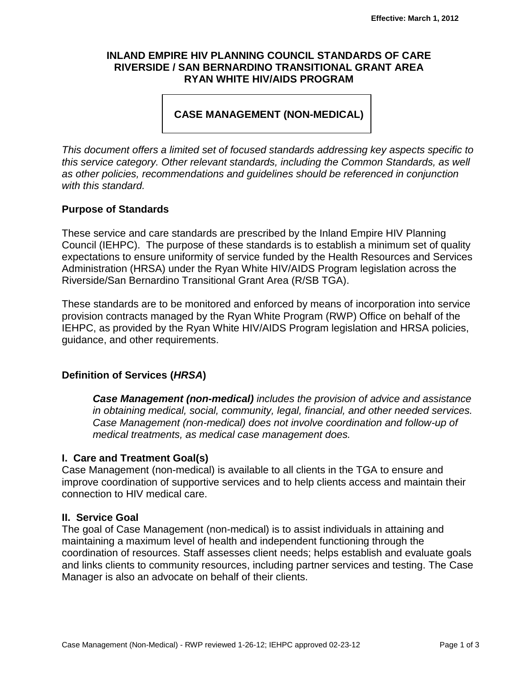#### **INLAND EMPIRE HIV PLANNING COUNCIL STANDARDS OF CARE RIVERSIDE / SAN BERNARDINO TRANSITIONAL GRANT AREA RYAN WHITE HIV/AIDS PROGRAM**

# **CASE MANAGEMENT (NON-MEDICAL)**

*This document offers a limited set of focused standards addressing key aspects specific to this service category. Other relevant standards, including the Common Standards, as well as other policies, recommendations and guidelines should be referenced in conjunction with this standard.*

## **Purpose of Standards**

These service and care standards are prescribed by the Inland Empire HIV Planning Council (IEHPC). The purpose of these standards is to establish a minimum set of quality expectations to ensure uniformity of service funded by the Health Resources and Services Administration (HRSA) under the Ryan White HIV/AIDS Program legislation across the Riverside/San Bernardino Transitional Grant Area (R/SB TGA).

These standards are to be monitored and enforced by means of incorporation into service provision contracts managed by the Ryan White Program (RWP) Office on behalf of the IEHPC, as provided by the Ryan White HIV/AIDS Program legislation and HRSA policies, guidance, and other requirements.

## **Definition of Services (***HRSA***)**

*Case Management (non-medical) includes the provision of advice and assistance in obtaining medical, social, community, legal, financial, and other needed services. Case Management (non-medical) does not involve coordination and follow-up of medical treatments, as medical case management does.*

#### **I. Care and Treatment Goal(s)**

Case Management (non-medical) is available to all clients in the TGA to ensure and improve coordination of supportive services and to help clients access and maintain their connection to HIV medical care.

#### **II. Service Goal**

The goal of Case Management (non-medical) is to assist individuals in attaining and maintaining a maximum level of health and independent functioning through the coordination of resources. Staff assesses client needs; helps establish and evaluate goals and links clients to community resources, including partner services and testing. The Case Manager is also an advocate on behalf of their clients.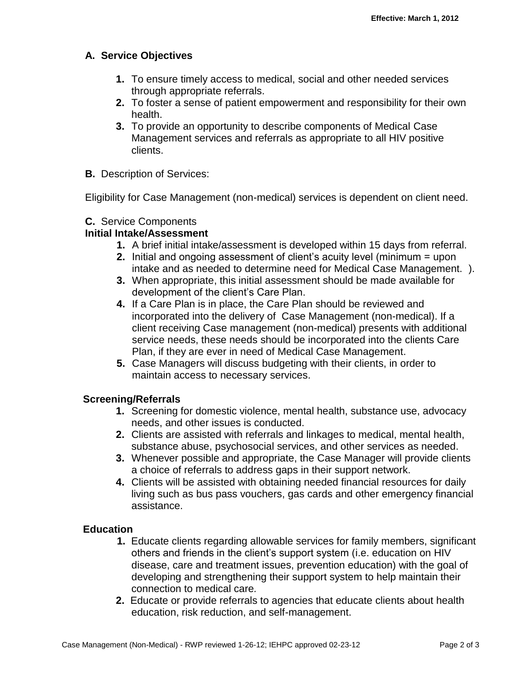# **A. Service Objectives**

- **1.** To ensure timely access to medical, social and other needed services through appropriate referrals.
- **2.** To foster a sense of patient empowerment and responsibility for their own health.
- **3.** To provide an opportunity to describe components of Medical Case Management services and referrals as appropriate to all HIV positive clients.
- **B.** Description of Services:

Eligibility for Case Management (non-medical) services is dependent on client need.

### **C.**Service Components

## **Initial Intake/Assessment**

- **1.** A brief initial intake/assessment is developed within 15 days from referral.
- **2.** Initial and ongoing assessment of client's acuity level (minimum = upon intake and as needed to determine need for Medical Case Management. ).
- **3.** When appropriate, this initial assessment should be made available for development of the client's Care Plan.
- **4.** If a Care Plan is in place, the Care Plan should be reviewed and incorporated into the delivery of Case Management (non-medical). If a client receiving Case management (non-medical) presents with additional service needs, these needs should be incorporated into the clients Care Plan, if they are ever in need of Medical Case Management.
- **5.** Case Managers will discuss budgeting with their clients, in order to maintain access to necessary services.

## **Screening/Referrals**

- **1.** Screening for domestic violence, mental health, substance use, advocacy needs, and other issues is conducted.
- **2.** Clients are assisted with referrals and linkages to medical, mental health, substance abuse, psychosocial services, and other services as needed.
- **3.** Whenever possible and appropriate, the Case Manager will provide clients a choice of referrals to address gaps in their support network.
- **4.** Clients will be assisted with obtaining needed financial resources for daily living such as bus pass vouchers, gas cards and other emergency financial assistance.

## **Education**

- **1.** Educate clients regarding allowable services for family members, significant others and friends in the client's support system (i.e. education on HIV disease, care and treatment issues, prevention education) with the goal of developing and strengthening their support system to help maintain their connection to medical care*.*
- **2.** Educate or provide referrals to agencies that educate clients about health education, risk reduction, and self-management.